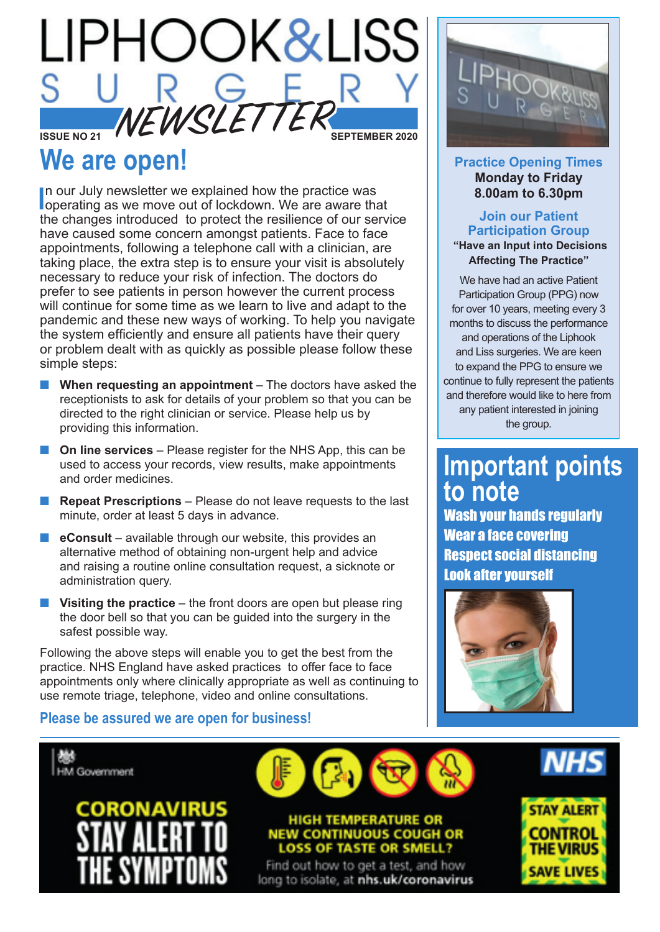

# **We are open!**

In our July newsletter we explained how the practice was<br>loperating as we move out of lockdown. We are aware that In our July newsletter we explained how the practice was the changes introduced to protect the resilience of our service have caused some concern amongst patients. Face to face appointments, following a telephone call with a clinician, are taking place, the extra step is to ensure your visit is absolutely necessary to reduce your risk of infection. The doctors do prefer to see patients in person however the current process will continue for some time as we learn to live and adapt to the pandemic and these new ways of working. To help you navigate the system efficiently and ensure all patients have their query or problem dealt with as quickly as possible please follow these simple steps:

- **Notable 1 When requesting an appointment** The doctors have asked the receptionists to ask for details of your problem so that you can be directed to the right clinician or service. Please help us by providing this information.
- **n** On line services Please register for the NHS App, this can be used to access your records, view results, make appointments and order medicines.
- **Repeat Prescriptions** Please do not leave requests to the last minute, order at least 5 days in advance.
- **E** eConsult available through our website, this provides an alternative method of obtaining non-urgent help and advice and raising a routine online consultation request, a sicknote or administration query.
- Visiting the practice the front doors are open but please ring the door bell so that you can be guided into the surgery in the safest possible way.

Following the above steps will enable you to get the best from the practice. NHS England have asked practices to offer face to face appointments only where clinically appropriate as well as continuing to use remote triage, telephone, video and online consultations.

#### **Practice Opening Times Monday to Friday 8.00am to 6.30pm**

#### **Join our Patient Participation Group "Have an Input into Decisions Affecting The Practice"**

We have had an active Patient Participation Group (PPG) now for over 10 years, meeting every 3 months to discuss the performance and operations of the Liphook and Liss surgeries. We are keen to expand the PPG to ensure we continue to fully represent the patients and therefore would like to here from any patient interested in joining the group.

# **Important points to note**

Wash your hands regularly Wear a face covering Respect social distancing Look after yourself



#### **Please be assured we are open for business!**



long to isolate, at nhs.uk/coronavirus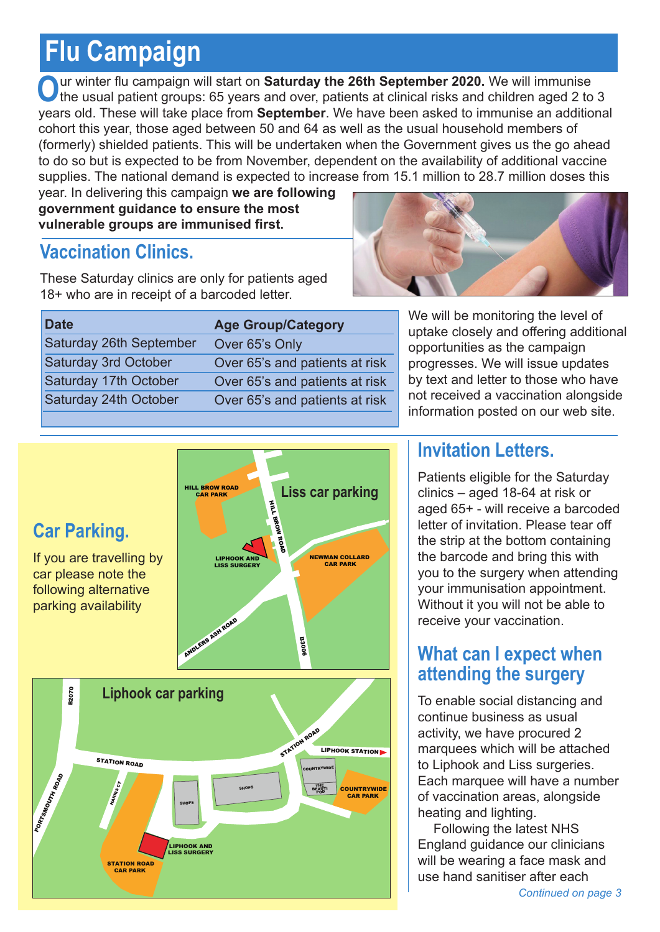# **Flu Campaign**

Our winter flu campaign will start on **Saturday the 26th September 2020.** We will immunise the usual patient groups: 65 years and over, patients at clinical risks and children aged 2 to 3 years old. These will take place from **September**. We have been asked to immunise an additional cohort this year, those aged between 50 and 64 as well as the usual household members of (formerly) shielded patients. This will be undertaken when the Government gives us the go ahead to do so but is expected to be from November, dependent on the availability of additional vaccine supplies. The national demand is expected to increase from 15.1 million to 28.7 million doses this

year. In delivering this campaign **we are following government guidance to ensure the most vulnerable groups are immunised first.**

## **Vaccination Clinics.**

These Saturday clinics are only for patients aged 18+ who are in receipt of a barcoded letter.



| <b>Date</b>                 | <b>Age Group/Category</b>      |
|-----------------------------|--------------------------------|
| Saturday 26th September     | Over 65's Only                 |
| <b>Saturday 3rd October</b> | Over 65's and patients at risk |
| Saturday 17th October       | Over 65's and patients at risk |
| Saturday 24th October       | Over 65's and patients at risk |
|                             |                                |

We will be monitoring the level of uptake closely and offering additional opportunities as the campaign progresses. We will issue updates by text and letter to those who have not received a vaccination alongside information posted on our web site.



### **Invitation Letters.**

Patients eligible for the Saturday clinics – aged 18-64 at risk or aged 65+ - will receive a barcoded letter of invitation. Please tear off the strip at the bottom containing the barcode and bring this with you to the surgery when attending your immunisation appointment. Without it you will not be able to receive your vaccination.

### **What can I expect when attending the surgery**

To enable social distancing and continue business as usual activity, we have procured 2 marquees which will be attached to Liphook and Liss surgeries. Each marquee will have a number of vaccination areas, alongside heating and lighting.

Following the latest NHS England guidance our clinicians will be wearing a face mask and use hand sanitiser after each